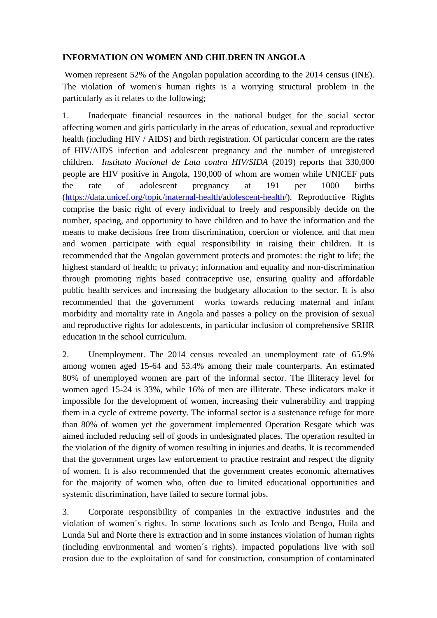## **INFORMATION ON WOMEN AND CHILDREN IN ANGOLA**

Women represent 52% of the Angolan population according to the 2014 census (INE). The violation of women's human rights is a worrying structural problem in the particularly as it relates to the following;

1. Inadequate financial resources in the national budget for the social sector affecting women and girls particularly in the areas of education, sexual and reproductive health (including HIV / AIDS) and birth registration. Of particular concern are the rates of HIV/AIDS infection and adolescent pregnancy and the number of unregistered children. *Instituto Nacional de Luta contra HIV/SIDA* (2019) reports that 330,000 people are HIV positive in Angola, 190,000 of whom are women while UNICEF puts the rate of adolescent pregnancy at 191 per 1000 births [\(https://data.unicef.org/topic/maternal-health/adolescent-health/\)](https://data.unicef.org/topic/maternal-health/adolescent-health/). Reproductive Rights comprise the basic right of every individual to freely and responsibly decide on the number, spacing, and opportunity to have children and to have the information and the means to make decisions free from discrimination, coercion or violence, and that men and women participate with equal responsibility in raising their children. It is recommended that the Angolan government protects and promotes: the right to life; the highest standard of health; to privacy; information and equality and non-discrimination through promoting rights based contraceptive use, ensuring quality and affordable public health services and increasing the budgetary allocation to the sector. It is also recommended that the government works towards reducing maternal and infant morbidity and mortality rate in Angola and passes a policy on the provision of sexual and reproductive rights for adolescents, in particular inclusion of comprehensive SRHR education in the school curriculum.

2. Unemployment. The 2014 census revealed an unemployment rate of 65.9% among women aged 15-64 and 53.4% among their male counterparts. An estimated 80% of unemployed women are part of the informal sector. The illiteracy level for women aged 15-24 is 33%, while 16% of men are illiterate. These indicators make it impossible for the development of women, increasing their vulnerability and trapping them in a cycle of extreme poverty. The informal sector is a sustenance refuge for more than 80% of women yet the government implemented Operation Resgate which was aimed included reducing sell of goods in undesignated places. The operation resulted in the violation of the dignity of women resulting in injuries and deaths. It is recommended that the government urges law enforcement to practice restraint and respect the dignity of women. It is also recommended that the government creates economic alternatives for the majority of women who, often due to limited educational opportunities and systemic discrimination, have failed to secure formal jobs.

3. Corporate responsibility of companies in the extractive industries and the violation of women´s rights. In some locations such as Icolo and Bengo, Huila and Lunda Sul and Norte there is extraction and in some instances violation of human rights (including environmental and women´s rights). Impacted populations live with soil erosion due to the exploitation of sand for construction, consumption of contaminated